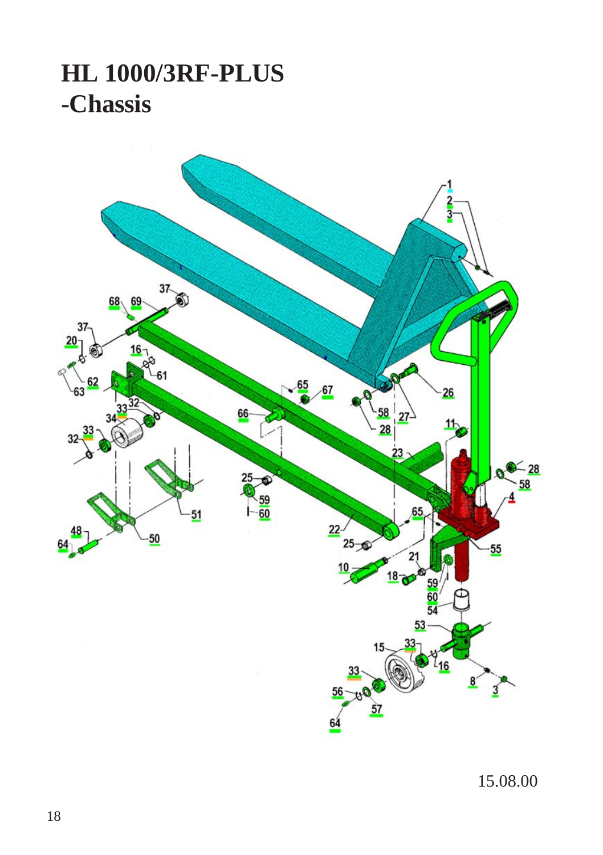## **HL 1000/3RF-PLUS -Chassis**



15.08.00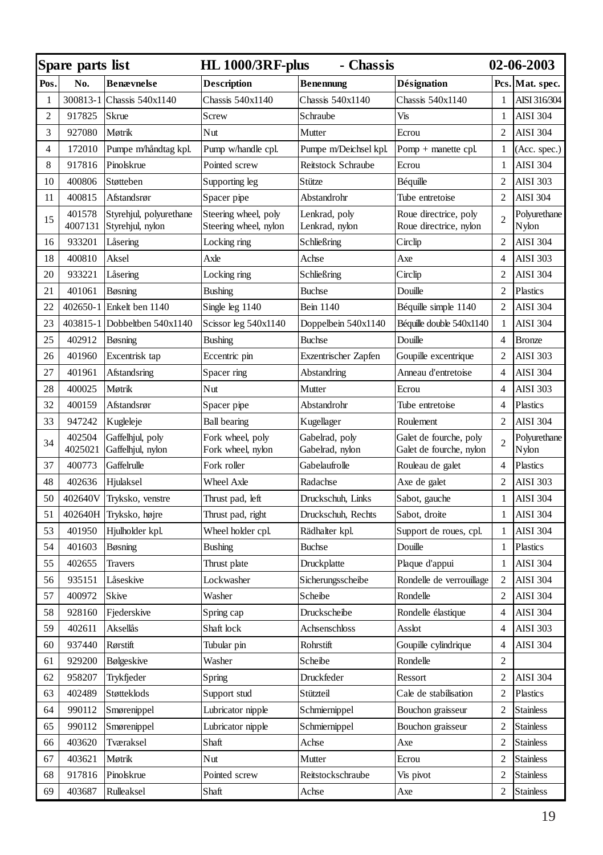| Spare parts list |                   |                                             | <b>HL 1000/3RF-plus</b><br>- Chassis          |                                   |                                                   | 02-06-2003     |                       |
|------------------|-------------------|---------------------------------------------|-----------------------------------------------|-----------------------------------|---------------------------------------------------|----------------|-----------------------|
| Pos.             | No.               | Benævnelse                                  | Description                                   | <b>Benennung</b>                  | Désignation                                       |                | Pcs. Mat. spec.       |
| 1                | 300813-1          | Chassis 540x1140                            | Chassis 540x1140                              | Chassis 540x1140                  | Chassis 540x1140                                  | 1              | AISI 316/304          |
| 2                | 917825            | Skrue                                       | Screw                                         | Schraube                          | Vis                                               | 1              | <b>AISI 304</b>       |
| 3                | 927080            | Møtrik                                      | Nut                                           | Mutter                            | Ecrou                                             | $\overline{c}$ | <b>AISI 304</b>       |
| $\overline{4}$   | 172010            | Pumpe m/håndtag kpl.                        | Pump w/handle cpl.                            | Pumpe m/Deichsel kpl.             | Pomp + manette cpl.                               | $\mathbf{1}$   | (Acc. spec.)          |
| 8                | 917816            | Pinolskrue                                  | Pointed screw                                 | Reitstock Schraube                | Ecrou                                             | 1              | <b>AISI 304</b>       |
| 10               | 400806            | Støtteben                                   | Supporting leg                                | Stütze                            | Béquille                                          | $\overline{c}$ | AISI 303              |
| 11               | 400815            | Afstandsrør                                 | Spacer pipe                                   | Abstandrohr                       | Tube entretoise                                   | $\overline{c}$ | <b>AISI 304</b>       |
| 15               | 401578<br>4007131 | Styrehjul, polyurethane<br>Styrehjul, nylon | Steering wheel, poly<br>Steering wheel, nylon | Lenkrad, poly<br>Lenkrad, nylon   | Roue directrice, poly<br>Roue directrice, nylon   | $\overline{c}$ | Polyurethane<br>Nylon |
| 16               | 933201            | Låsering                                    | Locking ring                                  | Schließring                       | Circlip                                           | $\overline{c}$ | <b>AISI 304</b>       |
| 18               | 400810            | Aksel                                       | Axle                                          | Achse                             | Axe                                               | $\overline{4}$ | <b>AISI 303</b>       |
| 20               | 933221            | Låsering                                    | Locking ring                                  | Schließring                       | Circlip                                           | $\overline{c}$ | AISI 304              |
| 21               | 401061            | Bøsning                                     | <b>Bushing</b>                                | Buchse                            | Douille                                           | $\overline{c}$ | Plastics              |
| 22               | 402650-1          | Enkelt ben 1140                             | Single leg 1140                               | Bein 1140                         | Béquille simple 1140                              | $\overline{c}$ | <b>AISI 304</b>       |
| 23               | 403815-1          | Dobbeltben 540x1140                         | Scissor leg 540x1140                          | Doppelbein 540x1140               | Béquille double 540x1140                          | $\mathbf{1}$   | <b>AISI 304</b>       |
| 25               | 402912            | Bøsning                                     | <b>Bushing</b>                                | <b>Buchse</b>                     | Douille                                           | $\overline{4}$ | <b>Bronze</b>         |
| 26               | 401960            | Excentrisk tap                              | Eccentric pin                                 | Exzentrischer Zapfen              | Goupille excentrique                              | $\overline{c}$ | <b>AISI 303</b>       |
| 27               | 401961            | Afstandsring                                | Spacer ring                                   | Abstandring                       | Anneau d'entretoise                               | $\overline{4}$ | <b>AISI 304</b>       |
| 28               | 400025            | Møtrik                                      | Nut                                           | Mutter                            | Ecrou                                             | $\overline{4}$ | <b>AISI 303</b>       |
| 32               | 400159            | Afstandsrør                                 | Spacer pipe                                   | Abstandrohr                       | Tube entretoise                                   | $\overline{4}$ | Plastics              |
| 33               | 947242            | Kugleleje                                   | <b>Ball bearing</b>                           | Kugellager                        | Roulement                                         | $\overline{c}$ | <b>AISI 304</b>       |
| 34               | 402504<br>4025021 | Gaffelhjul, poly<br>Gaffelhjul, nylon       | Fork wheel, poly<br>Fork wheel, nylon         | Gabelrad, poly<br>Gabelrad, nylon | Galet de fourche, poly<br>Galet de fourche, nylon | $\overline{c}$ | Polyurethane<br>Nylon |
| 37               | 400773            | Gaffelrulle                                 | Fork roller                                   | Gabelaufrolle                     | Rouleau de galet                                  | $\overline{4}$ | Plastics              |
| 48               | 402636            | Hjulaksel                                   | Wheel Axle                                    | Radachse                          | Axe de galet                                      | $\overline{c}$ | <b>AISI 303</b>       |
| 50               | 402640V           | Tryksko, venstre                            | Thrust pad, left                              | Druckschuh, Links                 | Sabot, gauche                                     | $\mathbf{1}$   | <b>AISI 304</b>       |
| 51               | 402640H           | Tryksko, højre                              | Thrust pad, right                             | Druckschuh, Rechts                | Sabot, droite                                     | $\mathbf{1}$   | <b>AISI 304</b>       |
| 53               | 401950            | Hjulholder kpl.                             | Wheel holder cpl.                             | Rädhalter kpl.                    | Support de roues, cpl.                            | 1              | <b>AISI 304</b>       |
| 54               | 401603            | Bøsning                                     | <b>Bushing</b>                                | <b>Buchse</b>                     | Douille                                           | 1              | Plastics              |
| 55               | 402655            | Travers                                     | Thrust plate                                  | Druckplatte                       | Plaque d'appui                                    | 1              | <b>AISI 304</b>       |
| 56               | 935151            | Låseskive                                   | Lockwasher                                    | Sicherungsscheibe                 | Rondelle de verrouillage                          | $\overline{c}$ | AISI 304              |
| 57               | 400972            | Skive                                       | Washer                                        | Scheibe                           | Rondelle                                          | $\overline{c}$ | AISI 304              |
| 58               | 928160            | Fjederskive                                 | Spring cap                                    | Druckscheibe                      | Rondelle élastique                                | $\overline{4}$ | <b>AISI 304</b>       |
| 59               | 402611            | Aksellås                                    | Shaft lock                                    | Achsenschloss                     | Asslot                                            | $\overline{4}$ | <b>AISI 303</b>       |
| 60               | 937440            | Rørstift                                    | Tubular pin                                   | Rohrstift                         | Goupille cylindrique                              | $\overline{4}$ | <b>AISI 304</b>       |
| 61               | 929200            | Bølgeskive                                  | Washer                                        | Scheibe                           | Rondelle                                          | $\overline{c}$ |                       |
| 62               | 958207            | Trykfjeder                                  | Spring                                        | Druckfeder                        | Ressort                                           | $\overline{c}$ | <b>AISI 304</b>       |
| 63               | 402489            | Støtteklods                                 | Support stud                                  | Stützteil                         | Cale de stabilisation                             | $\overline{c}$ | Plastics              |
| 64               | 990112            | Smørenippel                                 | Lubricator nipple                             | Schmiernippel                     | Bouchon graisseur                                 | $\overline{c}$ | <b>Stainless</b>      |
| 65               | 990112            | Smørenippel                                 | Lubricator nipple                             | Schmiernippel                     | Bouchon graisseur                                 | $\overline{c}$ | Stainless             |
| 66               | 403620            | Tværaksel                                   | Shaft                                         | Achse                             | Axe                                               | $\overline{c}$ | <b>Stainless</b>      |
| 67               | 403621            | Møtrik                                      | Nut                                           | Mutter                            | Ecrou                                             | $\overline{2}$ | <b>Stainless</b>      |
| 68               | 917816            | Pinolskrue                                  | Pointed screw                                 | Reitstockschraube                 | Vis pivot                                         | 2              | <b>Stainless</b>      |
| 69               | 403687            | Rulleaksel                                  | Shaft                                         | Achse                             | Axe                                               | $\overline{c}$ | <b>Stainless</b>      |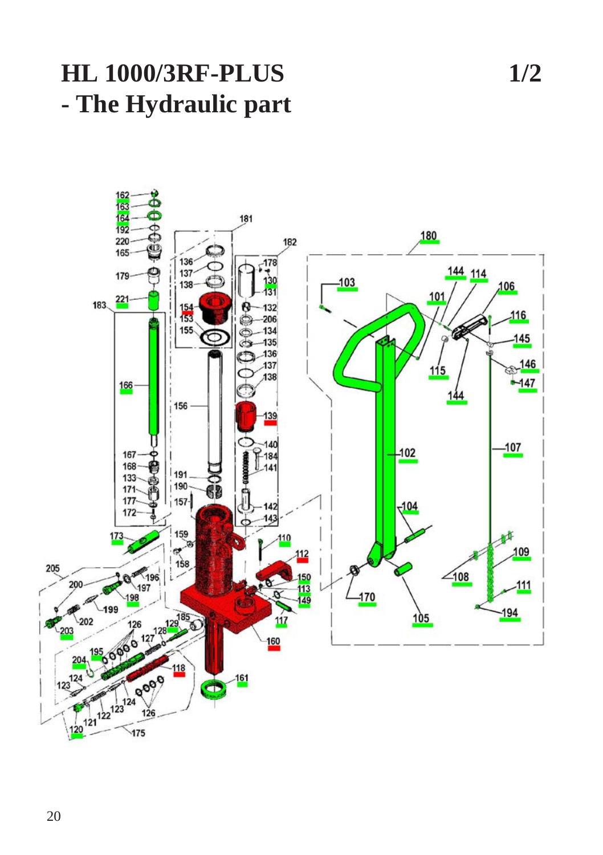## **HL 1000/3RF-PLUS 1/2 - The Hydraulic part**

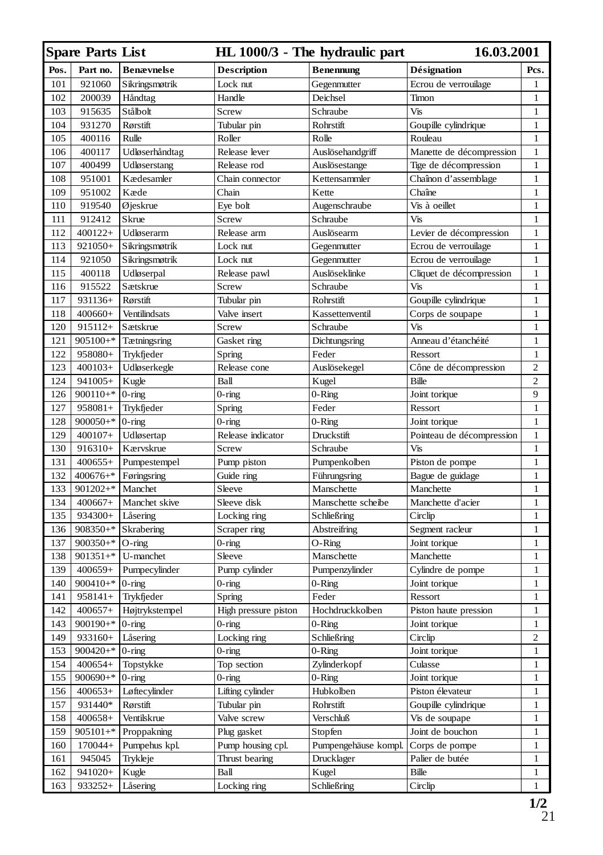|      | <b>Spare Parts List</b><br>HL 1000/3 - The hydraulic part<br>16.03.2001 |                   |                      |                      |                           |                |
|------|-------------------------------------------------------------------------|-------------------|----------------------|----------------------|---------------------------|----------------|
| Pos. | Part no.                                                                | <b>Benævnelse</b> | <b>Description</b>   | <b>Benennung</b>     | Désignation               | Pcs.           |
| 101  | 921060                                                                  | Sikringsmøtrik    | Lock nut             | Gegenmutter          | Ecrou de verrouilage      | 1              |
| 102  | 200039                                                                  | Håndtag           | Handle               | Deichsel             | Timon                     | $\mathbf{1}$   |
| 103  | 915635                                                                  | Stålbolt          | Screw                | Schraube             | Vis                       | $\mathbf{1}$   |
| 104  | 931270                                                                  | Rørstift          | Tubular pin          | Rohrstift            | Goupille cylindrique      | $\mathbf{1}$   |
| 105  | 400116                                                                  | Rulle             | Roller               | Rolle                | Rouleau                   | $\mathbf{1}$   |
| 106  | 400117                                                                  | Udløserhåndtag    | Release lever        | Auslösehandgriff     | Manette de décompression  | 1              |
| 107  | 400499                                                                  | Udløserstang      | Release rod          | Auslösestange        | Tige de décompression     | $\mathbf{1}$   |
| 108  | 951001                                                                  | Kædesamler        | Chain connector      | Kettensammler        | Chaînon d'assemblage      | 1              |
| 109  | 951002                                                                  | Kæde              | Chain                | Kette                | Chaîne                    | $\mathbf{1}$   |
| 110  | 919540                                                                  | Øjeskrue          | Eye bolt             | Augenschraube        | Vis à oeillet             | $\mathbf{1}$   |
| 111  | 912412                                                                  | Skrue             | Screw                | Schraube             | Vis                       | $\mathbf{1}$   |
| 112  | 400122+                                                                 | Udløserarm        | Release arm          | Auslösearm           | Levier de décompression   | $\mathbf{1}$   |
| 113  | 921050+                                                                 | Sikringsmøtrik    | Lock nut             | Gegenmutter          | Ecrou de verrouilage      | $\mathbf{1}$   |
| 114  | 921050                                                                  | Sikringsmøtrik    | Lock nut             | Gegenmutter          | Ecrou de verrouilage      | $\mathbf{1}$   |
| 115  | 400118                                                                  | Udløserpal        | Release pawl         | Auslöseklinke        | Cliquet de décompression  | $\mathbf{1}$   |
| 116  | 915522                                                                  | Sætskrue          | Screw                | Schraube             | Vis                       | $\mathbf{1}$   |
| 117  | 931136+                                                                 | Rørstift          | Tubular pin          | Rohrstift            | Goupille cylindrique      | $\mathbf{1}$   |
| 118  | 400660+                                                                 | Ventilindsats     | Valve insert         | Kassettenventil      | Corps de soupape          | $\mathbf{1}$   |
| 120  | 915112+                                                                 | Sætskrue          | Screw                | Schraube             | Vis                       | $\mathbf{1}$   |
| 121  | $905100+$ *                                                             | Tætningsring      | Gasket ring          | Dichtungsring        | Anneau d'étanchéité       | $\mathbf{1}$   |
| 122  | 958080+                                                                 | Trykfjeder        | Spring               | Feder                | Ressort                   | $\mathbf{1}$   |
| 123  | $400103+$                                                               | Udløserkegle      | Release cone         | Auslösekegel         | Cône de décompression     | 2              |
| 124  | 941005+                                                                 | Kugle             | Ball                 | Kugel                | Bille                     | $\overline{2}$ |
| 126  | $900110+$ *                                                             | $0$ -ring         | $0$ -ring            | $0$ -Ring            | Joint torique             | 9              |
| 127  | $958081+$                                                               | Trykfjeder        | Spring               | Feder                | Ressort                   | $\mathbf{1}$   |
| 128  | $900050+$ *                                                             | $0$ -ring         | $0$ -ring            | $0 -$ Ring           | Joint torique             | $\mathbf{1}$   |
| 129  | $400107+$                                                               | Udløsertap        | Release indicator    | Druckstift           | Pointeau de décompression | $\mathbf{1}$   |
| 130  | 916310+                                                                 | Kærvskrue         | Screw                | Schraube             | Vis                       | $\mathbf{1}$   |
| 131  | $400655+$                                                               | Pumpestempel      | Pump piston          | Pumpenkolben         | Piston de pompe           | 1              |
| 132  | $400676+$ *                                                             | Føringsring       | Guide ring           | Führungsring         | Bague de guidage          | $\mathbf{1}$   |
| 133  | $901202+$ *                                                             | Manchet           | Sleeve               | Manschette           | Manchette                 | $\mathbf{1}$   |
| 134  | 400667+                                                                 | Manchet skive     | Sleeve disk          | Manschette scheibe   | Manchette d'acier         | $\mathbf{1}$   |
| 135  | 934300+                                                                 | Låsering          | Locking ring         | Schließring          | Circlip                   | $\mathbf{1}$   |
| 136  | 908350+*                                                                | Skrabering        | Scraper ring         | Abstreifring         | Segment racleur           | $\mathbf{1}$   |
| 137  | $900350+$ *                                                             | $O$ -ring         | $0$ -ring            | $O-Ring$             | Joint torique             | $\mathbf{1}$   |
| 138  | $901351+$ *                                                             | U-manchet         | Sleeve               | Manschette           | Manchette                 | $\mathbf{1}$   |
| 139  | $400659+$                                                               | Pumpecylinder     | Pump cylinder        | Pumpenzylinder       | Cylindre de pompe         | $\mathbf{1}$   |
| 140  | $900410+$ 0-ring                                                        |                   | $0$ -ring            | $0$ -Ring            | Joint torique             | $\mathbf{1}$   |
| 141  | 958141+                                                                 | Trykfjeder        | Spring               | Feder                | Ressort                   | $\mathbf{1}$   |
| 142  | $400657+$                                                               | Højtrykstempel    | High pressure piston | Hochdruckkolben      | Piston haute pression     | $\mathbf{1}$   |
| 143  | $900190+$ *                                                             | $0$ -ring         | $0$ -ring            | $0$ -Ring            | Joint torique             | $\mathbf{1}$   |
| 149  | 933160+                                                                 | Låsering          | Locking ring         | Schließring          | Circlip                   | 2              |
| 153  | $900420+$ *                                                             | $0$ -ring         | 0-ring               | $0 - \mathbf{Ring}$  | Joint torique             | $\mathbf{1}$   |
| 154  | $400654+$                                                               | Topstykke         | Top section          | Zylinderkopf         | Culasse                   | $\mathbf{1}$   |
| 155  | $900690+$ * 0-ring                                                      |                   | $0$ -ring            | $0$ -Ring            | Joint torique             | 1              |
| 156  | $400653+$                                                               | Løftecylinder     | Lifting cylinder     | Hubkolben            | Piston élevateur          | 1              |
| 157  | 931440*                                                                 | Rørstift          | Tubular pin          | Rohrstift            | Goupille cylindrique      | $\mathbf{1}$   |
| 158  | 400658+                                                                 | Ventilskrue       | Valve screw          | Verschluß            | Vis de soupape            | 1              |
| 159  | $905101+$ *                                                             | Proppakning       | Plug gasket          | Stopfen              | Joint de bouchon          | $\mathbf{1}$   |
| 160  | 170044+                                                                 | Pumpehus kpl.     | Pump housing cpl.    | Pumpengehäuse kompl. | Corps de pompe            | 1              |
| 161  | 945045                                                                  | Trykleje          | Thrust bearing       | Drucklager           | Palier de butée           | $\mathbf{1}$   |
| 162  | 941020+                                                                 | Kugle             | Ball                 | Kugel                | Bille                     | 1              |
| 163  | 933252+                                                                 | Låsering          | Locking ring         | Schließring          | Circlip                   | $\mathbf{1}$   |
|      |                                                                         |                   |                      |                      |                           |                |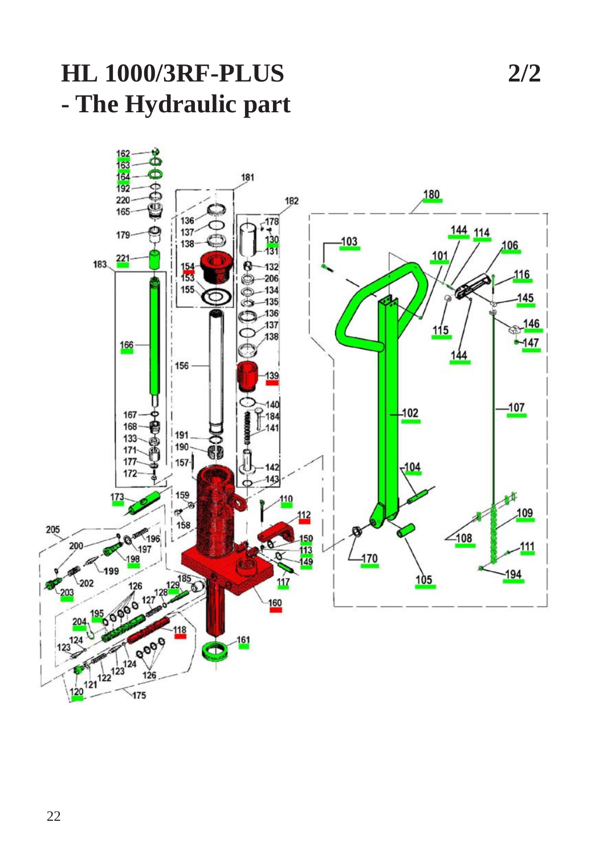## **HL 1000/3RF-PLUS 2/2 - The Hydraulic part**